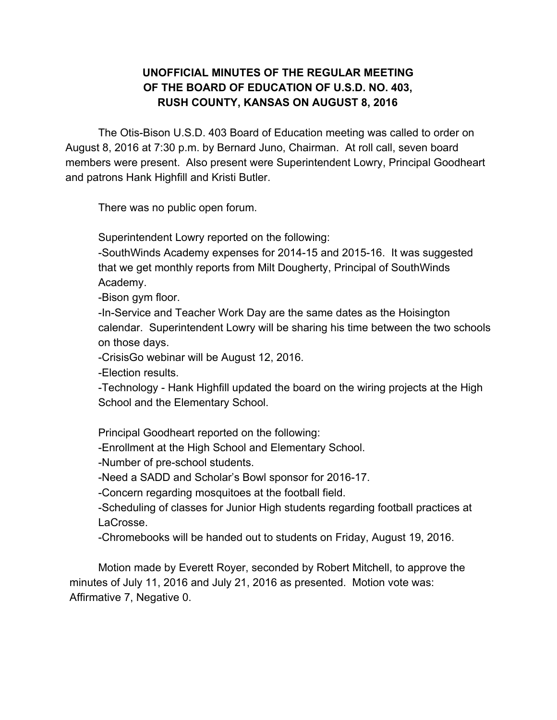## **UNOFFICIAL MINUTES OF THE REGULAR MEETING OF THE BOARD OF EDUCATION OF U.S.D. NO. 403, RUSH COUNTY, KANSAS ON AUGUST 8, 2016**

The Otis-Bison U.S.D. 403 Board of Education meeting was called to order on August 8, 2016 at 7:30 p.m. by Bernard Juno, Chairman. At roll call, seven board members were present. Also present were Superintendent Lowry, Principal Goodheart and patrons Hank Highfill and Kristi Butler.

There was no public open forum.

Superintendent Lowry reported on the following:

-SouthWinds Academy expenses for 2014-15 and 2015-16. It was suggested that we get monthly reports from Milt Dougherty, Principal of SouthWinds Academy.

Bison gym floor.

In-Service and Teacher Work Day are the same dates as the Hoisington calendar. Superintendent Lowry will be sharing his time between the two schools on those days.

CrisisGo webinar will be August 12, 2016.

Election results.

-Technology - Hank Highfill updated the board on the wiring projects at the High School and the Elementary School.

Principal Goodheart reported on the following:

Enrollment at the High School and Elementary School.

-Number of pre-school students.

-Need a SADD and Scholar's Bowl sponsor for 2016-17.

Concern regarding mosquitoes at the football field.

Scheduling of classes for Junior High students regarding football practices at LaCrosse.

Chromebooks will be handed out to students on Friday, August 19, 2016.

Motion made by Everett Royer, seconded by Robert Mitchell, to approve the minutes of July 11, 2016 and July 21, 2016 as presented. Motion vote was: Affirmative 7, Negative 0.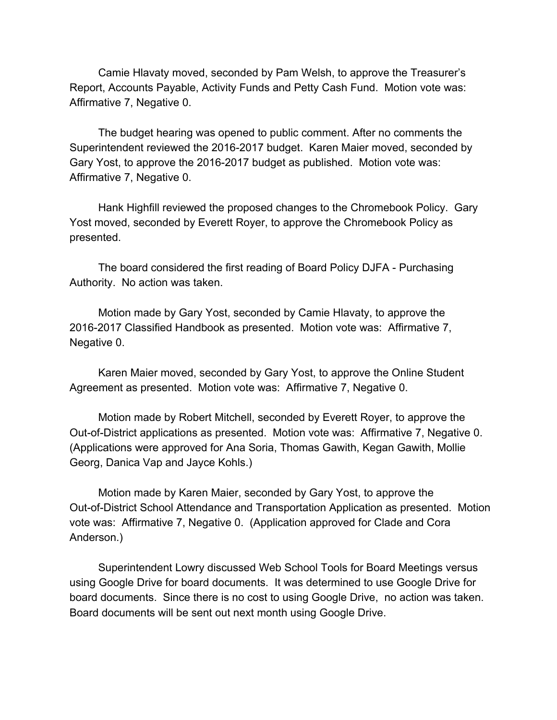Camie Hlavaty moved, seconded by Pam Welsh, to approve the Treasurer's Report, Accounts Payable, Activity Funds and Petty Cash Fund. Motion vote was: Affirmative 7, Negative 0.

The budget hearing was opened to public comment. After no comments the Superintendent reviewed the 20162017 budget. Karen Maier moved, seconded by Gary Yost, to approve the 2016-2017 budget as published. Motion vote was: Affirmative 7, Negative 0.

Hank Highfill reviewed the proposed changes to the Chromebook Policy. Gary Yost moved, seconded by Everett Royer, to approve the Chromebook Policy as presented.

The board considered the first reading of Board Policy DJFA Purchasing Authority. No action was taken.

Motion made by Gary Yost, seconded by Camie Hlavaty, to approve the 2016-2017 Classified Handbook as presented. Motion vote was: Affirmative 7, Negative 0.

Karen Maier moved, seconded by Gary Yost, to approve the Online Student Agreement as presented. Motion vote was: Affirmative 7, Negative 0.

Motion made by Robert Mitchell, seconded by Everett Royer, to approve the Out-of-District applications as presented. Motion vote was: Affirmative 7, Negative 0. (Applications were approved for Ana Soria, Thomas Gawith, Kegan Gawith, Mollie Georg, Danica Vap and Jayce Kohls.)

Motion made by Karen Maier, seconded by Gary Yost, to approve the Out-of-District School Attendance and Transportation Application as presented. Motion vote was: Affirmative 7, Negative 0. (Application approved for Clade and Cora Anderson.)

Superintendent Lowry discussed Web School Tools for Board Meetings versus using Google Drive for board documents. It was determined to use Google Drive for board documents. Since there is no cost to using Google Drive, no action was taken. Board documents will be sent out next month using Google Drive.